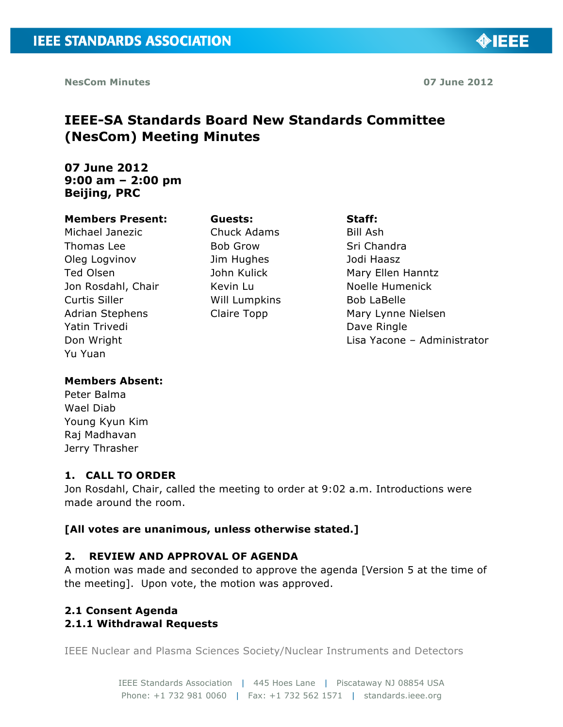◈IEEE

# **IEEE-SA Standards Board New Standards Committee (NesCom) Meeting Minutes**

## **07 June 2012 9:00 am – 2:00 pm Beijing, PRC**

#### **Members Present:**

Michael Janezic Thomas Lee Oleg Logvinov Ted Olsen Jon Rosdahl, Chair Curtis Siller Adrian Stephens Yatin Trivedi Don Wright Yu Yuan

Chuck Adams Bob Grow Jim Hughes John Kulick Kevin Lu Will Lumpkins Claire Topp

**Guests:**

#### **Staff:**

Bill Ash Sri Chandra Jodi Haasz Mary Ellen Hanntz Noelle Humenick Bob LaBelle Mary Lynne Nielsen Dave Ringle Lisa Yacone – Administrator

#### **Members Absent:**

Peter Balma Wael Diab Young Kyun Kim Raj Madhavan Jerry Thrasher

## **1. CALL TO ORDER**

Jon Rosdahl, Chair, called the meeting to order at 9:02 a.m. Introductions were made around the room.

## **[All votes are unanimous, unless otherwise stated.]**

## **2. REVIEW AND APPROVAL OF AGENDA**

A motion was made and seconded to approve the agenda [Version 5 at the time of the meeting]. Upon vote, the motion was approved.

## **2.1 Consent Agenda 2.1.1 Withdrawal Requests**

IEEE Nuclear and Plasma Sciences Society/Nuclear Instruments and Detectors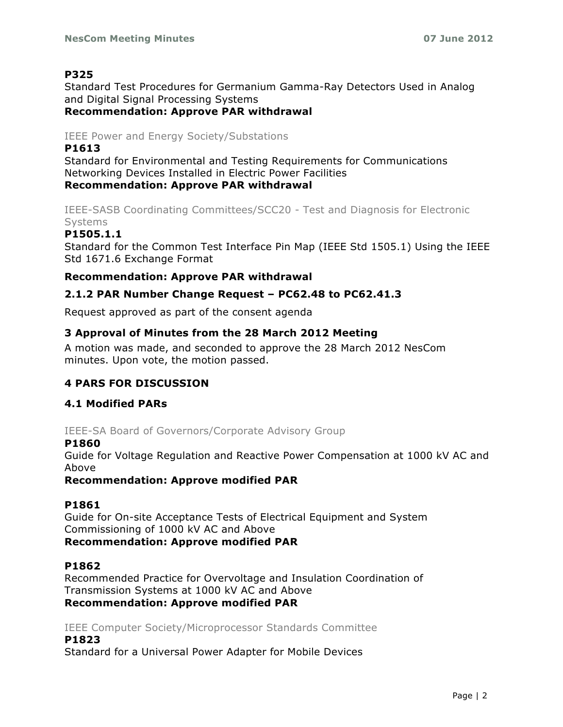## **P325**

Standard Test Procedures for Germanium Gamma-Ray Detectors Used in Analog and Digital Signal Processing Systems

## **Recommendation: Approve PAR withdrawal**

## IEEE Power and Energy Society/Substations

### **P1613**

Standard for Environmental and Testing Requirements for Communications Networking Devices Installed in Electric Power Facilities **Recommendation: Approve PAR withdrawal**

IEEE-SASB Coordinating Committees/SCC20 - Test and Diagnosis for Electronic Systems

## **P1505.1.1**

Standard for the Common Test Interface Pin Map (IEEE Std 1505.1) Using the IEEE Std 1671.6 Exchange Format

## **Recommendation: Approve PAR withdrawal**

## **2.1.2 PAR Number Change Request – PC62.48 to PC62.41.3**

Request approved as part of the consent agenda

## **3 Approval of Minutes from the 28 March 2012 Meeting**

A motion was made, and seconded to approve the 28 March 2012 NesCom minutes. Upon vote, the motion passed.

## **4 PARS FOR DISCUSSION**

## **4.1 Modified PARs**

IEEE-SA Board of Governors/Corporate Advisory Group

#### **P1860**

Guide for Voltage Regulation and Reactive Power Compensation at 1000 kV AC and Above

**Recommendation: Approve modified PAR**

## **P1861**

Guide for On-site Acceptance Tests of Electrical Equipment and System Commissioning of 1000 kV AC and Above **Recommendation: Approve modified PAR**

## **P1862**

Recommended Practice for Overvoltage and Insulation Coordination of Transmission Systems at 1000 kV AC and Above **Recommendation: Approve modified PAR**

IEEE Computer Society/Microprocessor Standards Committee **P1823**

Standard for a Universal Power Adapter for Mobile Devices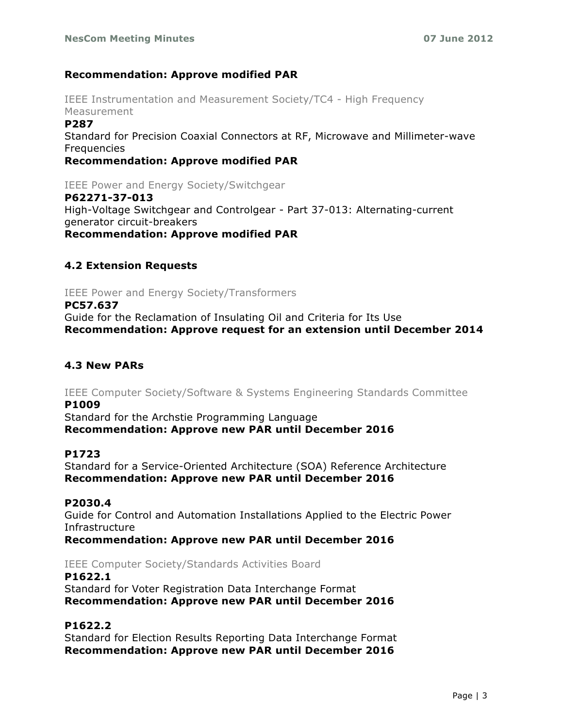#### **Recommendation: Approve modified PAR**

IEEE Instrumentation and Measurement Society/TC4 - High Frequency Measurement

#### **P287**

Standard for Precision Coaxial Connectors at RF, Microwave and Millimeter-wave **Frequencies** 

**Recommendation: Approve modified PAR**

IEEE Power and Energy Society/Switchgear

#### **P62271-37-013**

High-Voltage Switchgear and Controlgear - Part 37-013: Alternating-current generator circuit-breakers **Recommendation: Approve modified PAR**

## **4.2 Extension Requests**

IEEE Power and Energy Society/Transformers

**PC57.637** Guide for the Reclamation of Insulating Oil and Criteria for Its Use **Recommendation: Approve request for an extension until December 2014**

## **4.3 New PARs**

IEEE Computer Society/Software & Systems Engineering Standards Committee **P1009**

Standard for the Archstie Programming Language **Recommendation: Approve new PAR until December 2016**

#### **P1723**

Standard for a Service-Oriented Architecture (SOA) Reference Architecture **Recommendation: Approve new PAR until December 2016**

#### **P2030.4**

Guide for Control and Automation Installations Applied to the Electric Power Infrastructure

**Recommendation: Approve new PAR until December 2016**

#### IEEE Computer Society/Standards Activities Board

**P1622.1** Standard for Voter Registration Data Interchange Format **Recommendation: Approve new PAR until December 2016**

## **P1622.2**

Standard for Election Results Reporting Data Interchange Format **Recommendation: Approve new PAR until December 2016**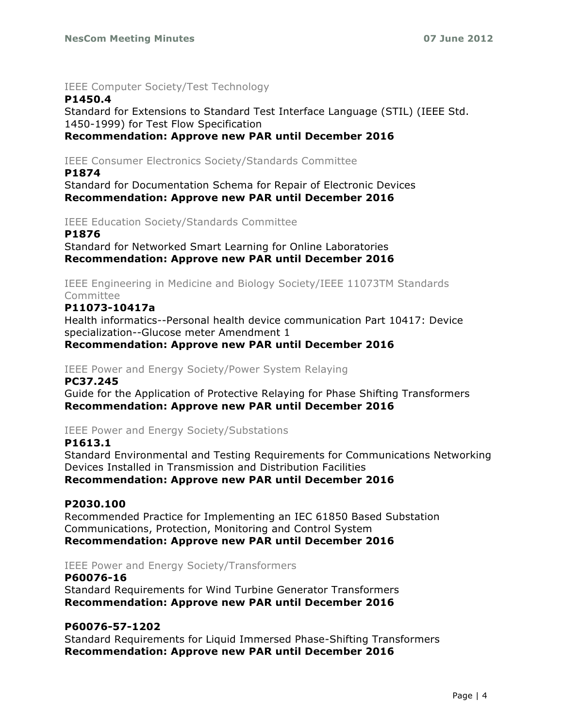#### IEEE Computer Society/Test Technology

## **P1450.4**

Standard for Extensions to Standard Test Interface Language (STIL) (IEEE Std. 1450-1999) for Test Flow Specification **Recommendation: Approve new PAR until December 2016**

IEEE Consumer Electronics Society/Standards Committee

#### **P1874**

Standard for Documentation Schema for Repair of Electronic Devices **Recommendation: Approve new PAR until December 2016**

IEEE Education Society/Standards Committee

#### **P1876**

Standard for Networked Smart Learning for Online Laboratories **Recommendation: Approve new PAR until December 2016**

IEEE Engineering in Medicine and Biology Society/IEEE 11073TM Standards Committee

## **P11073-10417a**

Health informatics--Personal health device communication Part 10417: Device specialization--Glucose meter Amendment 1

**Recommendation: Approve new PAR until December 2016**

IEEE Power and Energy Society/Power System Relaying

#### **PC37.245**

Guide for the Application of Protective Relaying for Phase Shifting Transformers **Recommendation: Approve new PAR until December 2016**

#### IEEE Power and Energy Society/Substations

#### **P1613.1**

Standard Environmental and Testing Requirements for Communications Networking Devices Installed in Transmission and Distribution Facilities

**Recommendation: Approve new PAR until December 2016**

#### **P2030.100**

Recommended Practice for Implementing an IEC 61850 Based Substation Communications, Protection, Monitoring and Control System **Recommendation: Approve new PAR until December 2016**

#### IEEE Power and Energy Society/Transformers

#### **P60076-16**

Standard Requirements for Wind Turbine Generator Transformers **Recommendation: Approve new PAR until December 2016**

## **P60076-57-1202**

Standard Requirements for Liquid Immersed Phase-Shifting Transformers **Recommendation: Approve new PAR until December 2016**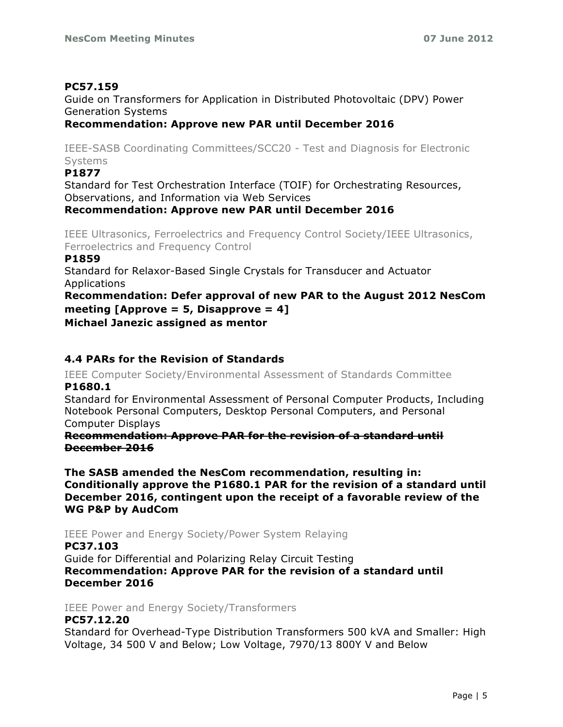## **PC57.159**

Guide on Transformers for Application in Distributed Photovoltaic (DPV) Power Generation Systems

## **Recommendation: Approve new PAR until December 2016**

IEEE-SASB Coordinating Committees/SCC20 - Test and Diagnosis for Electronic Systems

## **P1877**

Standard for Test Orchestration Interface (TOIF) for Orchestrating Resources, Observations, and Information via Web Services

## **Recommendation: Approve new PAR until December 2016**

IEEE Ultrasonics, Ferroelectrics and Frequency Control Society/IEEE Ultrasonics, Ferroelectrics and Frequency Control

#### **P1859**

Standard for Relaxor-Based Single Crystals for Transducer and Actuator Applications

**Recommendation: Defer approval of new PAR to the August 2012 NesCom meeting [Approve = 5, Disapprove = 4]** 

**Michael Janezic assigned as mentor**

## **4.4 PARs for the Revision of Standards**

IEEE Computer Society/Environmental Assessment of Standards Committee **P1680.1**

Standard for Environmental Assessment of Personal Computer Products, Including Notebook Personal Computers, Desktop Personal Computers, and Personal Computer Displays

**Recommendation: Approve PAR for the revision of a standard until December 2016**

**The SASB amended the NesCom recommendation, resulting in: Conditionally approve the P1680.1 PAR for the revision of a standard until December 2016, contingent upon the receipt of a favorable review of the WG P&P by AudCom**

IEEE Power and Energy Society/Power System Relaying

#### **PC37.103** Guide for Differential and Polarizing Relay Circuit Testing **Recommendation: Approve PAR for the revision of a standard until**

**December 2016**

IEEE Power and Energy Society/Transformers

## **PC57.12.20**

Standard for Overhead-Type Distribution Transformers 500 kVA and Smaller: High Voltage, 34 500 V and Below; Low Voltage, 7970/13 800Y V and Below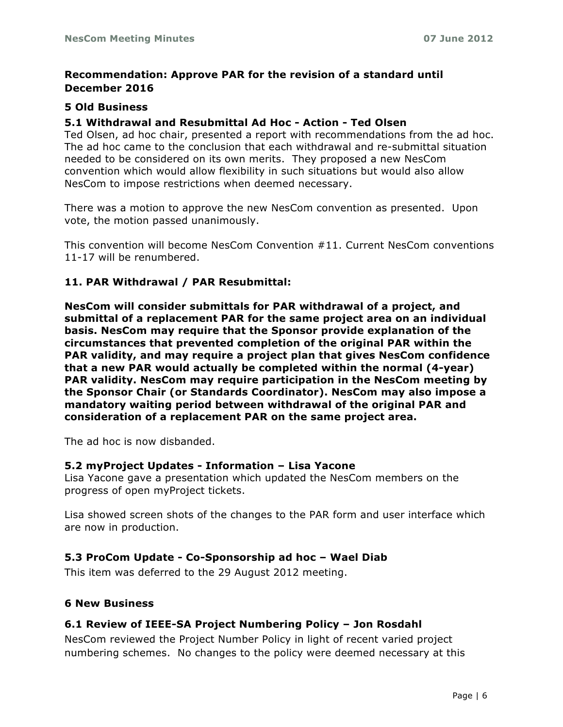## **Recommendation: Approve PAR for the revision of a standard until December 2016**

#### **5 Old Business**

#### **5.1 Withdrawal and Resubmittal Ad Hoc - Action - Ted Olsen**

Ted Olsen, ad hoc chair, presented a report with recommendations from the ad hoc. The ad hoc came to the conclusion that each withdrawal and re-submittal situation needed to be considered on its own merits. They proposed a new NesCom convention which would allow flexibility in such situations but would also allow NesCom to impose restrictions when deemed necessary.

There was a motion to approve the new NesCom convention as presented. Upon vote, the motion passed unanimously.

This convention will become NesCom Convention #11. Current NesCom conventions 11-17 will be renumbered.

#### **11. PAR Withdrawal / PAR Resubmittal:**

**NesCom will consider submittals for PAR withdrawal of a project, and submittal of a replacement PAR for the same project area on an individual basis. NesCom may require that the Sponsor provide explanation of the circumstances that prevented completion of the original PAR within the PAR validity, and may require a project plan that gives NesCom confidence that a new PAR would actually be completed within the normal (4-year) PAR validity. NesCom may require participation in the NesCom meeting by the Sponsor Chair (or Standards Coordinator). NesCom may also impose a mandatory waiting period between withdrawal of the original PAR and consideration of a replacement PAR on the same project area.**

The ad hoc is now disbanded.

#### **5.2 myProject Updates - Information – Lisa Yacone**

Lisa Yacone gave a presentation which updated the NesCom members on the progress of open myProject tickets.

Lisa showed screen shots of the changes to the PAR form and user interface which are now in production.

#### **5.3 ProCom Update - Co-Sponsorship ad hoc – Wael Diab**

This item was deferred to the 29 August 2012 meeting.

#### **6 New Business**

#### **6.1 Review of IEEE-SA Project Numbering Policy – Jon Rosdahl**

NesCom reviewed the Project Number Policy in light of recent varied project numbering schemes. No changes to the policy were deemed necessary at this